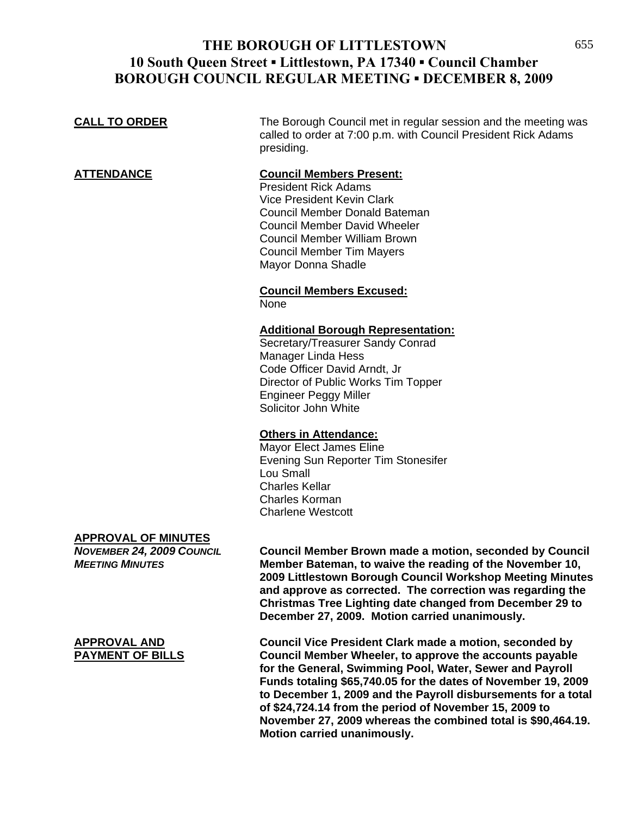## **THE BOROUGH OF LITTLESTOWN** 655 **10 South Queen Street ▪ Littlestown, PA 17340 ▪ Council Chamber BOROUGH COUNCIL REGULAR MEETING ▪ DECEMBER 8, 2009**

# **CALL TO ORDER** The Borough Council met in regular session and the meeting was called to order at 7:00 p.m. with Council President Rick Adams presiding. **ATTENDANCE Council Members Present:**

 President Rick Adams Vice President Kevin Clark Council Member Donald Bateman Council Member David Wheeler Council Member William Brown Council Member Tim Mayers Mayor Donna Shadle

#### **Council Members Excused:** None

### **Additional Borough Representation:**

 Secretary/Treasurer Sandy Conrad Manager Linda Hess Code Officer David Arndt, Jr Director of Public Works Tim Topper Engineer Peggy Miller Solicitor John White

### **Others in Attendance:**

 Mayor Elect James Eline Evening Sun Reporter Tim Stonesifer Lou Small Charles Kellar Charles Korman Charlene Westcott

### **APPROVAL OF MINUTES**

*NOVEMBER 24, 2009 COUNCIL* **Council Member Brown made a motion, seconded by Council**  *MEETING MINUTES* **Member Bateman, to waive the reading of the November 10, 2009 Littlestown Borough Council Workshop Meeting Minutes and approve as corrected. The correction was regarding the Christmas Tree Lighting date changed from December 29 to December 27, 2009. Motion carried unanimously.**

**APPROVAL AND Council Vice President Clark made a motion, seconded by PAYMENT OF BILLS Council Member Wheeler, to approve the accounts payable for the General, Swimming Pool, Water, Sewer and Payroll Funds totaling \$65,740.05 for the dates of November 19, 2009 to December 1, 2009 and the Payroll disbursements for a total of \$24,724.14 from the period of November 15, 2009 to November 27, 2009 whereas the combined total is \$90,464.19. Motion carried unanimously.**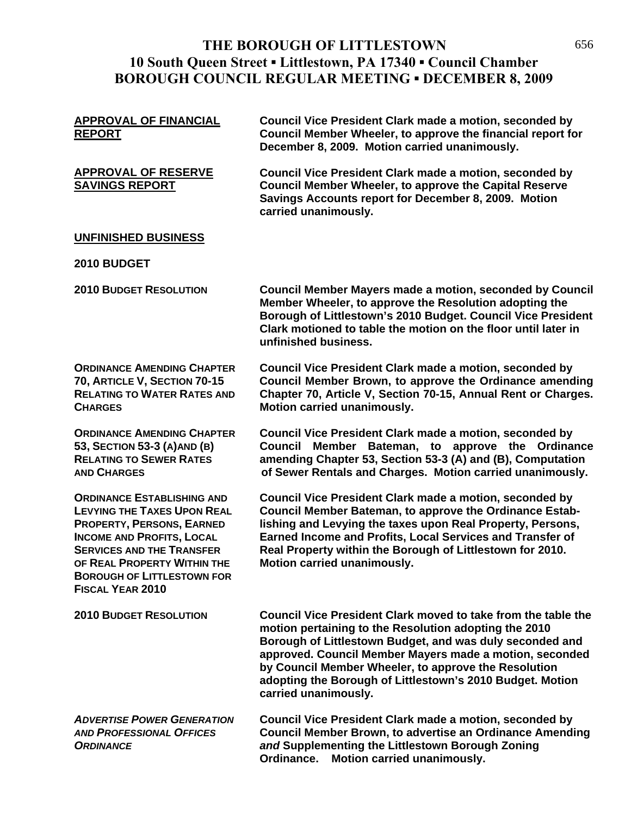## **THE BOROUGH OF LITTLESTOWN** 656 **10 South Queen Street ▪ Littlestown, PA 17340 ▪ Council Chamber BOROUGH COUNCIL REGULAR MEETING ▪ DECEMBER 8, 2009**

| <b>APPROVAL OF FINANCIAL</b><br><b>REPORT</b>                                                                                                                                                                                                                               | <b>Council Vice President Clark made a motion, seconded by</b><br>Council Member Wheeler, to approve the financial report for<br>December 8, 2009. Motion carried unanimously.                                                                                                                                                                                                             |
|-----------------------------------------------------------------------------------------------------------------------------------------------------------------------------------------------------------------------------------------------------------------------------|--------------------------------------------------------------------------------------------------------------------------------------------------------------------------------------------------------------------------------------------------------------------------------------------------------------------------------------------------------------------------------------------|
| <b>APPROVAL OF RESERVE</b><br><b>SAVINGS REPORT</b>                                                                                                                                                                                                                         | <b>Council Vice President Clark made a motion, seconded by</b><br><b>Council Member Wheeler, to approve the Capital Reserve</b><br>Savings Accounts report for December 8, 2009. Motion<br>carried unanimously.                                                                                                                                                                            |
| <b>UNFINISHED BUSINESS</b>                                                                                                                                                                                                                                                  |                                                                                                                                                                                                                                                                                                                                                                                            |
| <b>2010 BUDGET</b>                                                                                                                                                                                                                                                          |                                                                                                                                                                                                                                                                                                                                                                                            |
| <b>2010 BUDGET RESOLUTION</b>                                                                                                                                                                                                                                               | Council Member Mayers made a motion, seconded by Council<br>Member Wheeler, to approve the Resolution adopting the<br>Borough of Littlestown's 2010 Budget. Council Vice President<br>Clark motioned to table the motion on the floor until later in<br>unfinished business.                                                                                                               |
| <b>ORDINANCE AMENDING CHAPTER</b><br>70, ARTICLE V, SECTION 70-15<br><b>RELATING TO WATER RATES AND</b><br><b>CHARGES</b>                                                                                                                                                   | <b>Council Vice President Clark made a motion, seconded by</b><br>Council Member Brown, to approve the Ordinance amending<br>Chapter 70, Article V, Section 70-15, Annual Rent or Charges.<br>Motion carried unanimously.                                                                                                                                                                  |
| <b>ORDINANCE AMENDING CHAPTER</b><br>53, SECTION 53-3 (A) AND (B)<br><b>RELATING TO SEWER RATES</b><br><b>AND CHARGES</b>                                                                                                                                                   | <b>Council Vice President Clark made a motion, seconded by</b><br>Bateman, to approve the Ordinance<br><b>Council</b><br><b>Member</b><br>amending Chapter 53, Section 53-3 (A) and (B), Computation<br>of Sewer Rentals and Charges. Motion carried unanimously.                                                                                                                          |
| <b>ORDINANCE ESTABLISHING AND</b><br><b>LEVYING THE TAXES UPON REAL</b><br>PROPERTY, PERSONS, EARNED<br><b>INCOME AND PROFITS, LOCAL</b><br><b>SERVICES AND THE TRANSFER</b><br>OF REAL PROPERTY WITHIN THE<br><b>BOROUGH OF LITTLESTOWN FOR</b><br><b>FISCAL YEAR 2010</b> | <b>Council Vice President Clark made a motion, seconded by</b><br>Council Member Bateman, to approve the Ordinance Estab-<br>lishing and Levying the taxes upon Real Property, Persons,<br>Earned Income and Profits, Local Services and Transfer of<br>Real Property within the Borough of Littlestown for 2010.<br>Motion carried unanimously.                                           |
| <b>2010 BUDGET RESOLUTION</b>                                                                                                                                                                                                                                               | Council Vice President Clark moved to take from the table the<br>motion pertaining to the Resolution adopting the 2010<br>Borough of Littlestown Budget, and was duly seconded and<br>approved. Council Member Mayers made a motion, seconded<br>by Council Member Wheeler, to approve the Resolution<br>adopting the Borough of Littlestown's 2010 Budget. Motion<br>carried unanimously. |
| <b>ADVERTISE POWER GENERATION</b><br><b>AND PROFESSIONAL OFFICES</b><br><b>ORDINANCE</b>                                                                                                                                                                                    | <b>Council Vice President Clark made a motion, seconded by</b><br><b>Council Member Brown, to advertise an Ordinance Amending</b><br>and Supplementing the Littlestown Borough Zoning<br>Motion carried unanimously.<br>Ordinance.                                                                                                                                                         |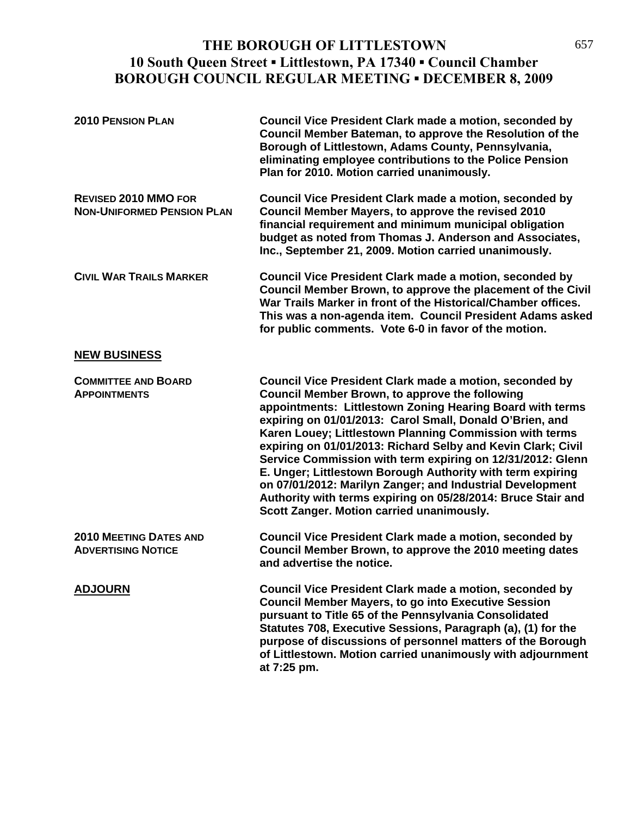## THE BOROUGH OF LITTLESTOWN 657 **10 South Queen Street ▪ Littlestown, PA 17340 ▪ Council Chamber BOROUGH COUNCIL REGULAR MEETING ▪ DECEMBER 8, 2009**

| <b>2010 PENSION PLAN</b>                                         | <b>Council Vice President Clark made a motion, seconded by</b><br>Council Member Bateman, to approve the Resolution of the<br>Borough of Littlestown, Adams County, Pennsylvania,<br>eliminating employee contributions to the Police Pension<br>Plan for 2010. Motion carried unanimously.                                                                                                                                                                                                                                                                                                                                                                                       |
|------------------------------------------------------------------|-----------------------------------------------------------------------------------------------------------------------------------------------------------------------------------------------------------------------------------------------------------------------------------------------------------------------------------------------------------------------------------------------------------------------------------------------------------------------------------------------------------------------------------------------------------------------------------------------------------------------------------------------------------------------------------|
| <b>REVISED 2010 MMO FOR</b><br><b>NON-UNIFORMED PENSION PLAN</b> | <b>Council Vice President Clark made a motion, seconded by</b><br>Council Member Mayers, to approve the revised 2010<br>financial requirement and minimum municipal obligation<br>budget as noted from Thomas J. Anderson and Associates,<br>Inc., September 21, 2009. Motion carried unanimously.                                                                                                                                                                                                                                                                                                                                                                                |
| <b>CIVIL WAR TRAILS MARKER</b>                                   | Council Vice President Clark made a motion, seconded by<br>Council Member Brown, to approve the placement of the Civil<br>War Trails Marker in front of the Historical/Chamber offices.<br>This was a non-agenda item. Council President Adams asked<br>for public comments. Vote 6-0 in favor of the motion.                                                                                                                                                                                                                                                                                                                                                                     |
| <b>NEW BUSINESS</b>                                              |                                                                                                                                                                                                                                                                                                                                                                                                                                                                                                                                                                                                                                                                                   |
| <b>COMMITTEE AND BOARD</b><br><b>APPOINTMENTS</b>                | <b>Council Vice President Clark made a motion, seconded by</b><br><b>Council Member Brown, to approve the following</b><br>appointments: Littlestown Zoning Hearing Board with terms<br>expiring on 01/01/2013: Carol Small, Donald O'Brien, and<br>Karen Louey; Littlestown Planning Commission with terms<br>expiring on 01/01/2013: Richard Selby and Kevin Clark; Civil<br>Service Commission with term expiring on 12/31/2012: Glenn<br>E. Unger; Littlestown Borough Authority with term expiring<br>on 07/01/2012: Marilyn Zanger; and Industrial Development<br>Authority with terms expiring on 05/28/2014: Bruce Stair and<br>Scott Zanger. Motion carried unanimously. |
| <b>2010 MEETING DATES AND</b><br><b>ADVERTISING NOTICE</b>       | Council Vice President Clark made a motion, seconded by<br>Council Member Brown, to approve the 2010 meeting dates<br>and advertise the notice.                                                                                                                                                                                                                                                                                                                                                                                                                                                                                                                                   |
| <b>ADJOURN</b>                                                   | Council Vice President Clark made a motion, seconded by<br><b>Council Member Mayers, to go into Executive Session</b><br>pursuant to Title 65 of the Pennsylvania Consolidated<br>Statutes 708, Executive Sessions, Paragraph (a), (1) for the<br>purpose of discussions of personnel matters of the Borough<br>of Littlestown. Motion carried unanimously with adjournment<br>at 7:25 pm.                                                                                                                                                                                                                                                                                        |